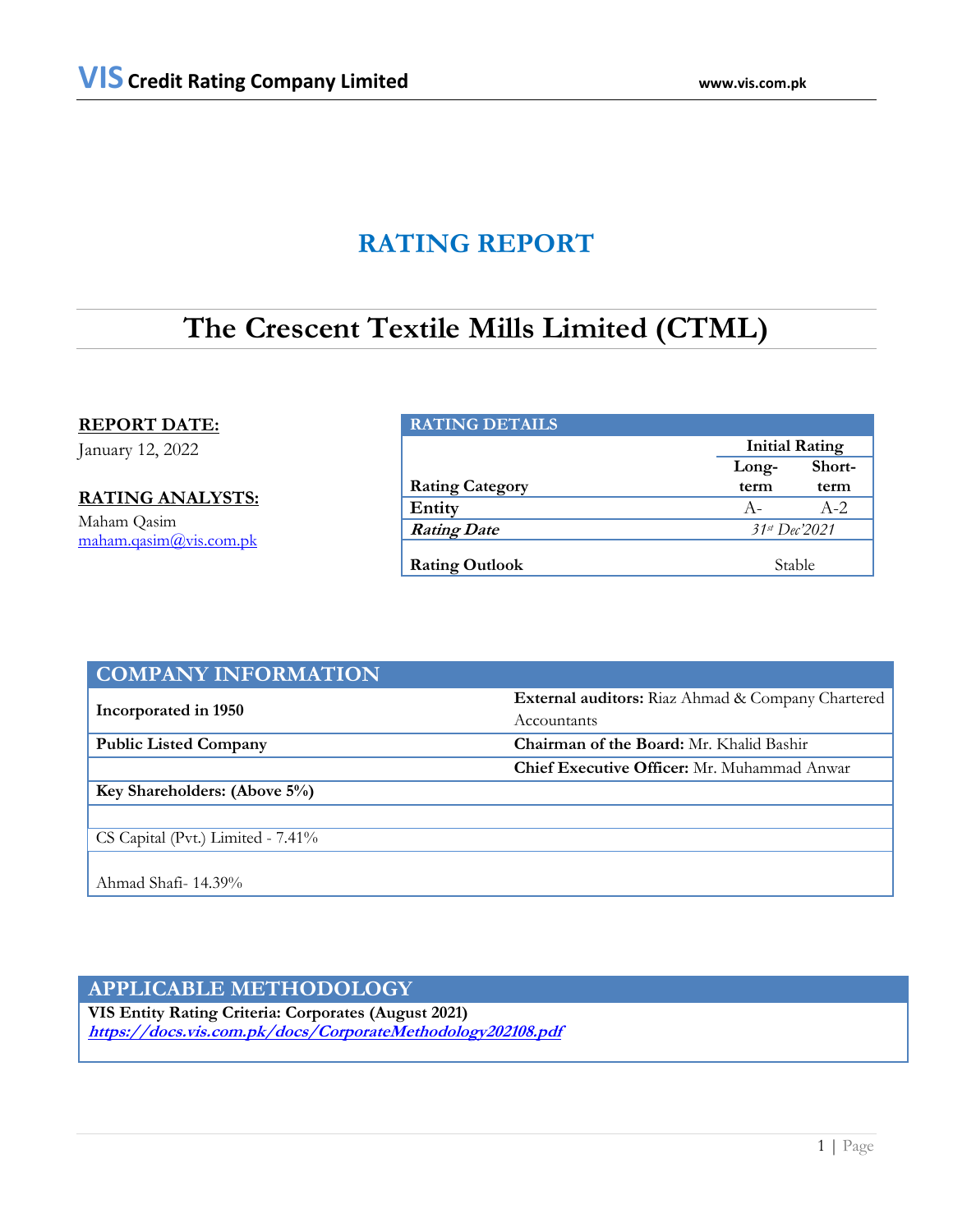# **RATING REPORT**

# **The Crescent Textile Mills Limited (CTML)**

**REPORT DATE:**

January 12, 2022

**RATING ANALYSTS:** Maham Qasim [maham.qasim@vis.com.pk](mailto:maham.qasim@vis.com.pk)

## **RATING DETAILS**

|                        | <b>Initial Rating</b> |        |  |
|------------------------|-----------------------|--------|--|
|                        | Long-                 | Short- |  |
| <b>Rating Category</b> | term                  | term   |  |
| Entity                 | $A -$                 | $A-2$  |  |
| <b>Rating Date</b>     | $31st$ Dec'2021       |        |  |
| <b>Rating Outlook</b>  | Stable                |        |  |

| <b>COMPANY INFORMATION</b>        |                                                    |
|-----------------------------------|----------------------------------------------------|
|                                   | External auditors: Riaz Ahmad & Company Chartered  |
| Incorporated in 1950              | Accountants                                        |
| <b>Public Listed Company</b>      | Chairman of the Board: Mr. Khalid Bashir           |
|                                   | <b>Chief Executive Officer:</b> Mr. Muhammad Anwar |
| Key Shareholders: (Above 5%)      |                                                    |
|                                   |                                                    |
| CS Capital (Pvt.) Limited - 7.41% |                                                    |
|                                   |                                                    |
| Ahmad Shafi- 14.39%               |                                                    |

# **APPLICABLE METHODOLOGY**

**VIS Entity Rating Criteria: Corporates (August 2021) <https://docs.vis.com.pk/docs/CorporateMethodology202108.pdf>**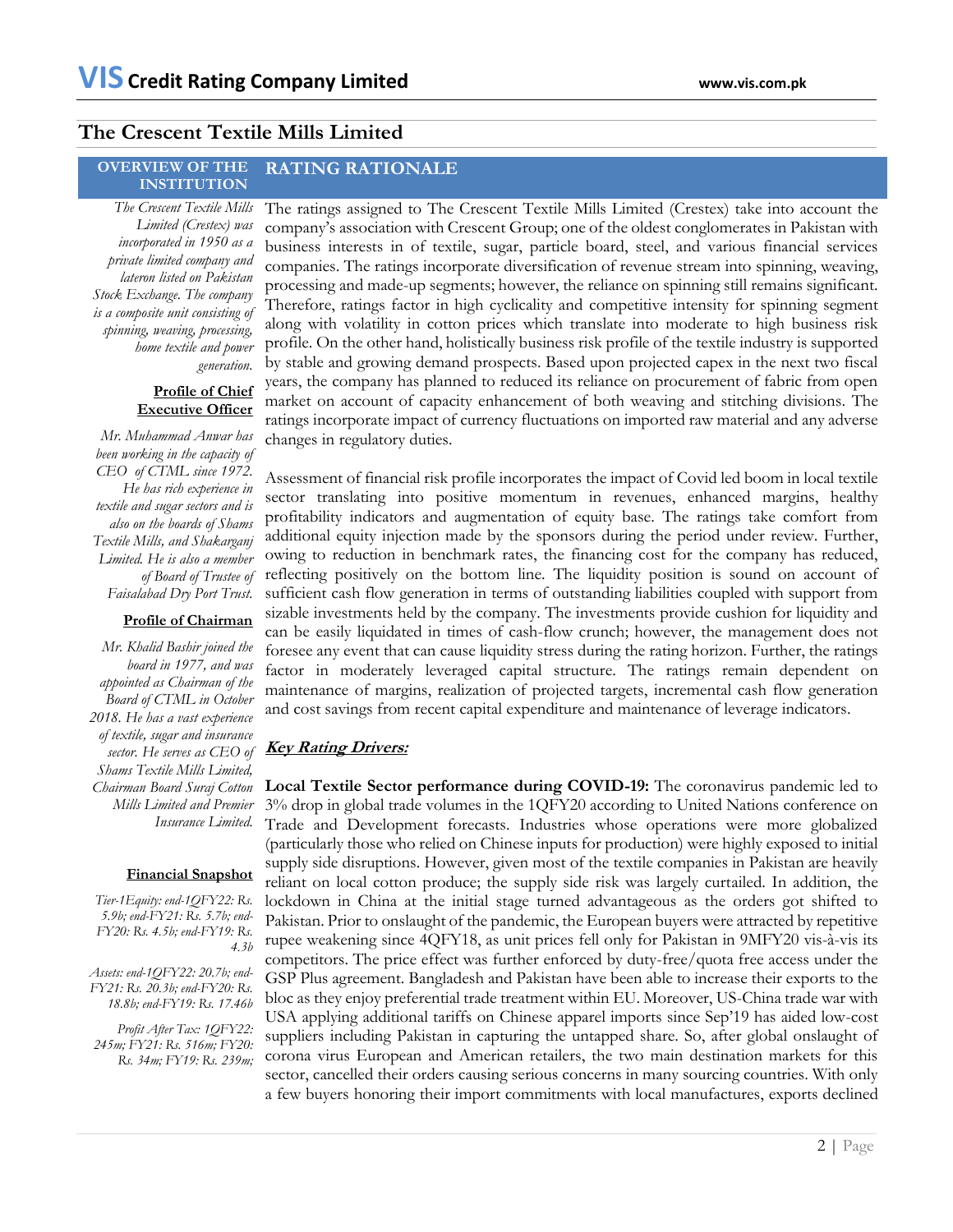# **The Crescent Textile Mills Limited**

### **OVERVIEW OF THE INSTITUTION RATING RATIONALE**

*The Crescent Textile Mills Limited (Crestex) was incorporated in 1950 as a private limited company and lateron listed on Pakistan Stock Exchange. The company is a composite unit consisting of spinning, weaving, processing, home textile and power generation.*

## **Profile of Chief Executive Officer**

*Mr. Muhammad Anwar has been working in the capacity of CEO of CTML since 1972. He has rich experience in textile and sugar sectors and is also on the boards of Shams Textile Mills, and Shakarganj Limited. He is also a member of Board of Trustee of Faisalabad Dry Port Trust.* 

## **Profile of Chairman**

*Mr. Khalid Bashir joined the board in 1977, and was appointed as Chairman of the Board of CTML in October 2018. He has a vast experience of textile, sugar and insurance sector. He serves as CEO of Shams Textile Mills Limited, Chairman Board Suraj Cotton Mills Limited and Premier Insurance Limited.*

## **Financial Snapshot**

*Tier-1Equity: end-1QFY22: Rs. 5.9b; end-FY21: Rs. 5.7b; end-FY20: Rs. 4.5b; end-FY19: Rs. 4.3b*

*Assets: end-1QFY22: 20.7b; end-FY21: Rs. 20.3b; end-FY20: Rs. 18.8b; end-FY19: Rs. 17.46b*

*Profit After Tax: 1QFY22: 245m; FY21: Rs. 516m; FY20: Rs. 34m; FY19: Rs. 239m;*  The ratings assigned to The Crescent Textile Mills Limited (Crestex) take into account the company's association with Crescent Group; one of the oldest conglomerates in Pakistan with business interests in of textile, sugar, particle board, steel, and various financial services companies. The ratings incorporate diversification of revenue stream into spinning, weaving, processing and made-up segments; however, the reliance on spinning still remains significant. Therefore, ratings factor in high cyclicality and competitive intensity for spinning segment along with volatility in cotton prices which translate into moderate to high business risk profile. On the other hand, holistically business risk profile of the textile industry is supported by stable and growing demand prospects. Based upon projected capex in the next two fiscal years, the company has planned to reduced its reliance on procurement of fabric from open market on account of capacity enhancement of both weaving and stitching divisions. The ratings incorporate impact of currency fluctuations on imported raw material and any adverse changes in regulatory duties.

Assessment of financial risk profile incorporates the impact of Covid led boom in local textile sector translating into positive momentum in revenues, enhanced margins, healthy profitability indicators and augmentation of equity base. The ratings take comfort from additional equity injection made by the sponsors during the period under review. Further, owing to reduction in benchmark rates, the financing cost for the company has reduced, reflecting positively on the bottom line. The liquidity position is sound on account of sufficient cash flow generation in terms of outstanding liabilities coupled with support from sizable investments held by the company. The investments provide cushion for liquidity and can be easily liquidated in times of cash-flow crunch; however, the management does not foresee any event that can cause liquidity stress during the rating horizon. Further, the ratings factor in moderately leveraged capital structure. The ratings remain dependent on maintenance of margins, realization of projected targets, incremental cash flow generation and cost savings from recent capital expenditure and maintenance of leverage indicators.

# **Key Rating Drivers:**

**Local Textile Sector performance during COVID-19:** The coronavirus pandemic led to 3% drop in global trade volumes in the 1QFY20 according to United Nations conference on Trade and Development forecasts. Industries whose operations were more globalized (particularly those who relied on Chinese inputs for production) were highly exposed to initial supply side disruptions. However, given most of the textile companies in Pakistan are heavily reliant on local cotton produce; the supply side risk was largely curtailed. In addition, the lockdown in China at the initial stage turned advantageous as the orders got shifted to Pakistan. Prior to onslaught of the pandemic, the European buyers were attracted by repetitive rupee weakening since 4QFY18, as unit prices fell only for Pakistan in 9MFY20 vis-à-vis its competitors. The price effect was further enforced by duty-free/quota free access under the GSP Plus agreement. Bangladesh and Pakistan have been able to increase their exports to the bloc as they enjoy preferential trade treatment within EU. Moreover, US-China trade war with USA applying additional tariffs on Chinese apparel imports since Sep'19 has aided low-cost suppliers including Pakistan in capturing the untapped share. So, after global onslaught of corona virus European and American retailers, the two main destination markets for this sector, cancelled their orders causing serious concerns in many sourcing countries. With only a few buyers honoring their import commitments with local manufactures, exports declined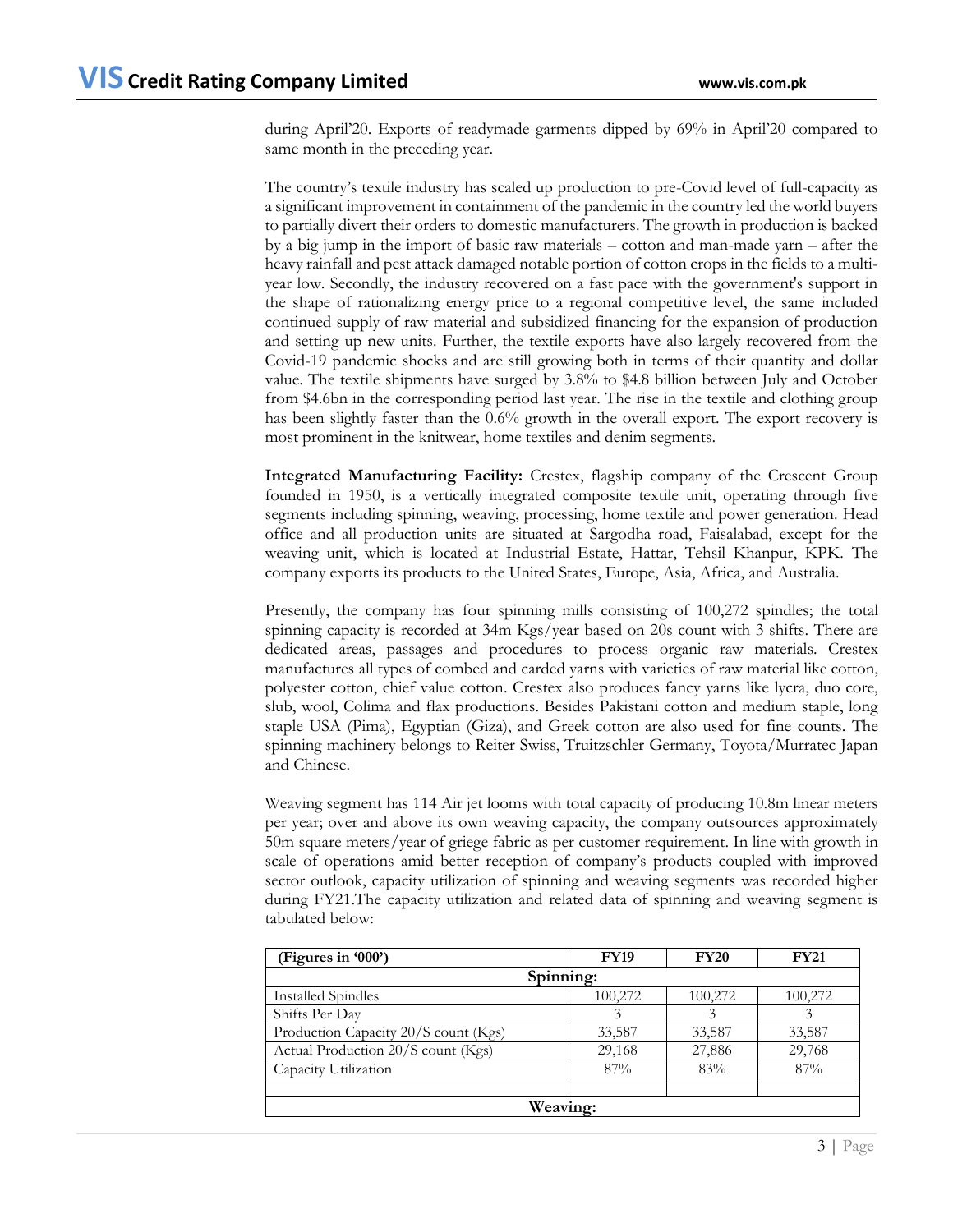during April'20. Exports of readymade garments dipped by 69% in April'20 compared to same month in the preceding year.

The country's textile industry has scaled up production to pre-Covid level of full-capacity as a significant improvement in containment of the pandemic in the country led the world buyers to partially divert their orders to domestic manufacturers. The growth in production is backed by a big jump in the import of basic raw materials – cotton and man-made yarn – after the heavy rainfall and pest attack damaged notable portion of cotton crops in the fields to a multiyear low. Secondly, the industry recovered on a fast pace with the government's support in the shape of rationalizing energy price to a regional competitive level, the same included continued supply of raw material and subsidized financing for the expansion of production and setting up new units. Further, the textile exports have also largely recovered from the Covid-19 pandemic shocks and are still growing both in terms of their quantity and dollar value. The textile shipments have surged by 3.8% to \$4.8 billion between July and October from \$4.6bn in the corresponding period last year. The rise in the textile and clothing group has been slightly faster than the 0.6% growth in the overall export. The export recovery is most prominent in the knitwear, home textiles and denim segments.

**Integrated Manufacturing Facility:** Crestex, flagship company of the Crescent Group founded in 1950, is a vertically integrated composite textile unit, operating through five segments including spinning, weaving, processing, home textile and power generation. Head office and all production units are situated at Sargodha road, Faisalabad, except for the weaving unit, which is located at Industrial Estate, Hattar, Tehsil Khanpur, KPK. The company exports its products to the United States, Europe, Asia, Africa, and Australia.

Presently, the company has four spinning mills consisting of 100,272 spindles; the total spinning capacity is recorded at 34m Kgs/year based on 20s count with 3 shifts. There are dedicated areas, passages and procedures to process organic raw materials. Crestex manufactures all types of combed and carded yarns with varieties of raw material like cotton, polyester cotton, chief value cotton. Crestex also produces fancy yarns like lycra, duo core, slub, wool, Colima and flax productions. Besides Pakistani cotton and medium staple, long staple USA (Pima), Egyptian (Giza), and Greek cotton are also used for fine counts. The spinning machinery belongs to Reiter Swiss, Truitzschler Germany, Toyota/Murratec Japan and Chinese.

Weaving segment has 114 Air jet looms with total capacity of producing 10.8m linear meters per year; over and above its own weaving capacity, the company outsources approximately 50m square meters/year of griege fabric as per customer requirement. In line with growth in scale of operations amid better reception of company's products coupled with improved sector outlook, capacity utilization of spinning and weaving segments was recorded higher during FY21.The capacity utilization and related data of spinning and weaving segment is tabulated below:

| (Figures in '000')                   | <b>FY19</b> | <b>FY20</b> | <b>FY21</b> |  |  |  |
|--------------------------------------|-------------|-------------|-------------|--|--|--|
| Spinning:                            |             |             |             |  |  |  |
| <b>Installed Spindles</b>            | 100,272     | 100,272     | 100,272     |  |  |  |
| Shifts Per Day                       | 3           |             |             |  |  |  |
| Production Capacity 20/S count (Kgs) | 33,587      | 33,587      | 33,587      |  |  |  |
| Actual Production 20/S count (Kgs)   | 29,168      | 27,886      | 29,768      |  |  |  |
| Capacity Utilization                 | 87%         | 83%         | 87%         |  |  |  |
|                                      |             |             |             |  |  |  |
| Weaving:                             |             |             |             |  |  |  |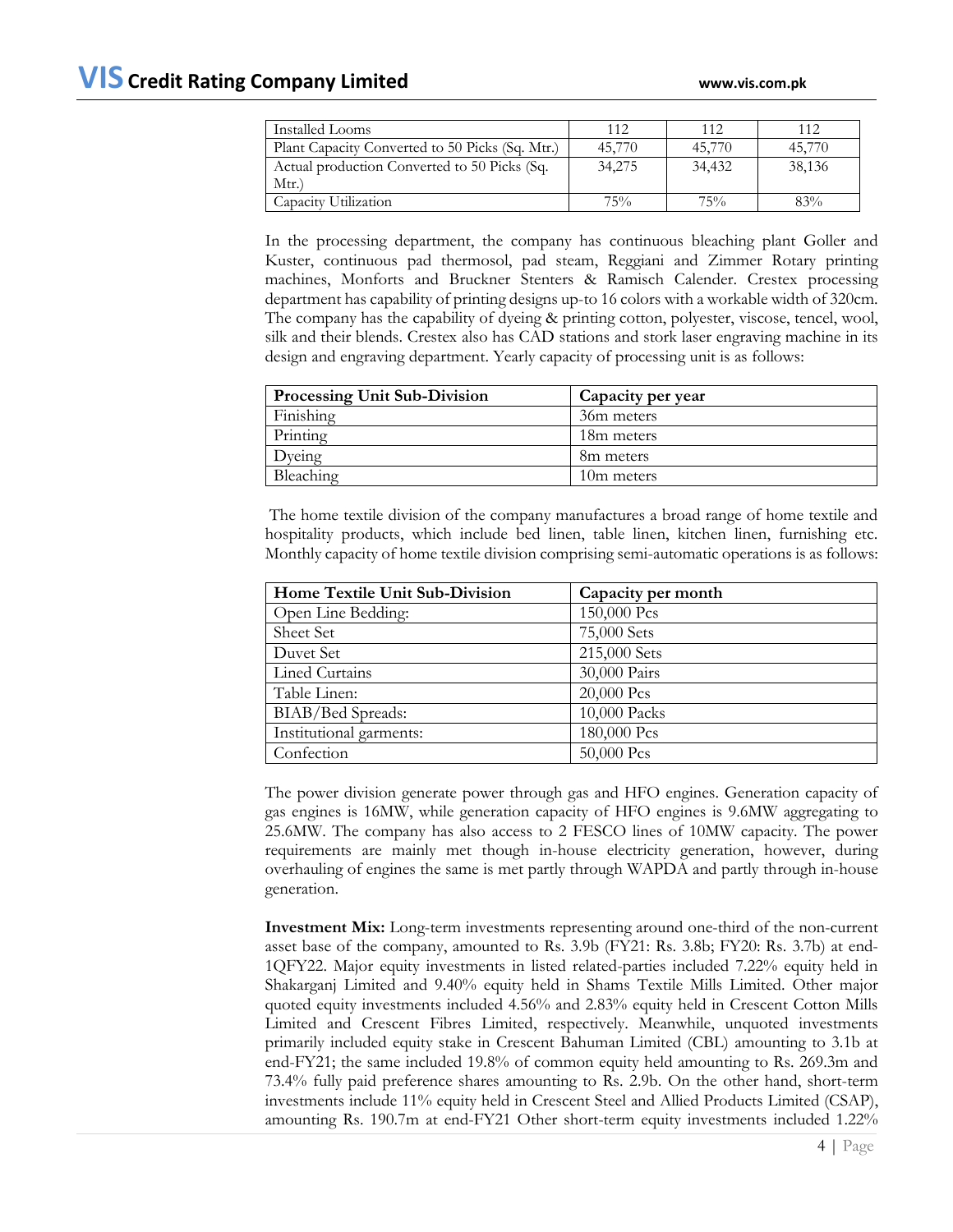| Installed Looms                                 | 112    | 112    | 112    |
|-------------------------------------------------|--------|--------|--------|
| Plant Capacity Converted to 50 Picks (Sq. Mtr.) | 45,770 | 45,770 | 45,770 |
| Actual production Converted to 50 Picks (Sq.    | 34,275 | 34,432 | 38,136 |
| Mtr.                                            |        |        |        |
| Capacity Utilization                            | 75%    | 75%    | 83%    |

In the processing department, the company has continuous bleaching plant Goller and Kuster, continuous pad thermosol, pad steam, Reggiani and Zimmer Rotary printing machines, Monforts and Bruckner Stenters & Ramisch Calender. Crestex processing department has capability of printing designs up-to 16 colors with a workable width of 320cm. The company has the capability of dyeing & printing cotton, polyester, viscose, tencel, wool, silk and their blends. Crestex also has CAD stations and stork laser engraving machine in its design and engraving department. Yearly capacity of processing unit is as follows:

| <b>Processing Unit Sub-Division</b> | Capacity per year      |
|-------------------------------------|------------------------|
| Finishing                           | 36m meters             |
| Printing                            | 18 <sub>m</sub> meters |
| $D$ veing                           | 8m meters              |
| Bleaching                           | 10m meters             |

The home textile division of the company manufactures a broad range of home textile and hospitality products, which include bed linen, table linen, kitchen linen, furnishing etc. Monthly capacity of home textile division comprising semi-automatic operations is as follows:

| Home Textile Unit Sub-Division | Capacity per month |
|--------------------------------|--------------------|
| Open Line Bedding:             | 150,000 Pcs        |
| Sheet Set                      | 75,000 Sets        |
| Duvet Set                      | 215,000 Sets       |
| <b>Lined Curtains</b>          | 30,000 Pairs       |
| Table Linen:                   | 20,000 Pcs         |
| BIAB/Bed Spreads:              | 10,000 Packs       |
| Institutional garments:        | 180,000 Pcs        |
| Confection                     | 50,000 Pcs         |

The power division generate power through gas and HFO engines. Generation capacity of gas engines is 16MW, while generation capacity of HFO engines is 9.6MW aggregating to 25.6MW. The company has also access to 2 FESCO lines of 10MW capacity. The power requirements are mainly met though in-house electricity generation, however, during overhauling of engines the same is met partly through WAPDA and partly through in-house generation.

**Investment Mix:** Long-term investments representing around one-third of the non-current asset base of the company, amounted to Rs. 3.9b (FY21: Rs. 3.8b; FY20: Rs. 3.7b) at end-1QFY22. Major equity investments in listed related-parties included 7.22% equity held in Shakarganj Limited and 9.40% equity held in Shams Textile Mills Limited. Other major quoted equity investments included 4.56% and 2.83% equity held in Crescent Cotton Mills Limited and Crescent Fibres Limited, respectively. Meanwhile, unquoted investments primarily included equity stake in Crescent Bahuman Limited (CBL) amounting to 3.1b at end-FY21; the same included 19.8% of common equity held amounting to Rs. 269.3m and 73.4% fully paid preference shares amounting to Rs. 2.9b. On the other hand, short-term investments include 11% equity held in Crescent Steel and Allied Products Limited (CSAP), amounting Rs. 190.7m at end-FY21 Other short-term equity investments included 1.22%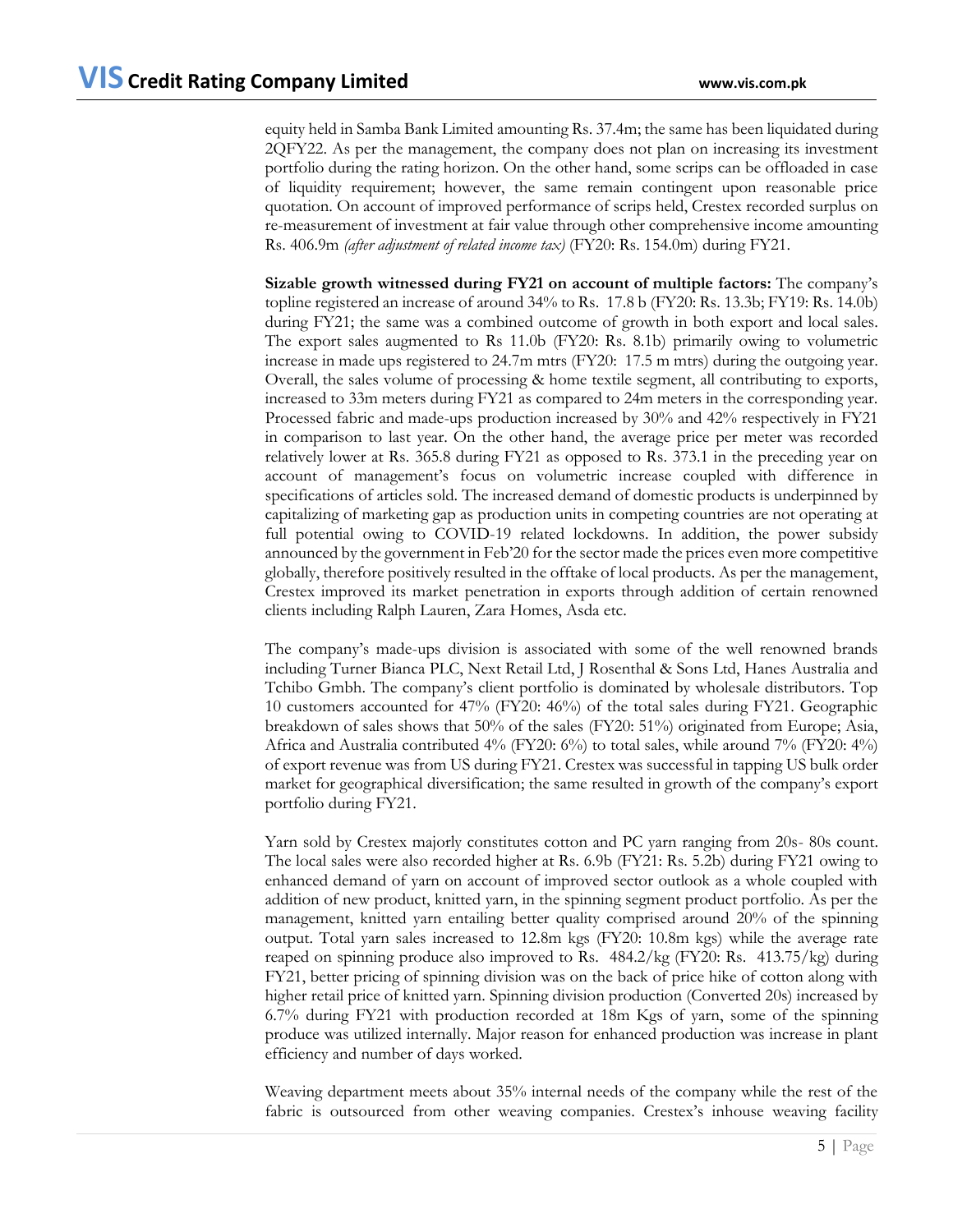equity held in Samba Bank Limited amounting Rs. 37.4m; the same has been liquidated during 2QFY22. As per the management, the company does not plan on increasing its investment portfolio during the rating horizon. On the other hand, some scrips can be offloaded in case of liquidity requirement; however, the same remain contingent upon reasonable price quotation. On account of improved performance of scrips held, Crestex recorded surplus on re-measurement of investment at fair value through other comprehensive income amounting Rs. 406.9m *(after adjustment of related income tax)* (FY20: Rs. 154.0m) during FY21.

**Sizable growth witnessed during FY21 on account of multiple factors:** The company's topline registered an increase of around 34% to Rs. 17.8 b (FY20: Rs. 13.3b; FY19: Rs. 14.0b) during FY21; the same was a combined outcome of growth in both export and local sales. The export sales augmented to Rs 11.0b (FY20: Rs. 8.1b) primarily owing to volumetric increase in made ups registered to 24.7m mtrs (FY20: 17.5 m mtrs) during the outgoing year. Overall, the sales volume of processing & home textile segment, all contributing to exports, increased to 33m meters during FY21 as compared to 24m meters in the corresponding year. Processed fabric and made-ups production increased by 30% and 42% respectively in FY21 in comparison to last year. On the other hand, the average price per meter was recorded relatively lower at Rs. 365.8 during FY21 as opposed to Rs. 373.1 in the preceding year on account of management's focus on volumetric increase coupled with difference in specifications of articles sold. The increased demand of domestic products is underpinned by capitalizing of marketing gap as production units in competing countries are not operating at full potential owing to COVID-19 related lockdowns. In addition, the power subsidy announced by the government in Feb'20 for the sector made the prices even more competitive globally, therefore positively resulted in the offtake of local products. As per the management, Crestex improved its market penetration in exports through addition of certain renowned clients including Ralph Lauren, Zara Homes, Asda etc.

The company's made-ups division is associated with some of the well renowned brands including Turner Bianca PLC, Next Retail Ltd, J Rosenthal & Sons Ltd, Hanes Australia and Tchibo Gmbh. The company's client portfolio is dominated by wholesale distributors. Top 10 customers accounted for 47% (FY20: 46%) of the total sales during FY21. Geographic breakdown of sales shows that 50% of the sales (FY20: 51%) originated from Europe; Asia, Africa and Australia contributed 4% (FY20: 6%) to total sales, while around 7% (FY20: 4%) of export revenue was from US during FY21. Crestex was successful in tapping US bulk order market for geographical diversification; the same resulted in growth of the company's export portfolio during FY21.

Yarn sold by Crestex majorly constitutes cotton and PC yarn ranging from 20s- 80s count. The local sales were also recorded higher at Rs. 6.9b (FY21: Rs. 5.2b) during FY21 owing to enhanced demand of yarn on account of improved sector outlook as a whole coupled with addition of new product, knitted yarn, in the spinning segment product portfolio. As per the management, knitted yarn entailing better quality comprised around 20% of the spinning output. Total yarn sales increased to 12.8m kgs (FY20: 10.8m kgs) while the average rate reaped on spinning produce also improved to Rs. 484.2/kg (FY20: Rs. 413.75/kg) during FY21, better pricing of spinning division was on the back of price hike of cotton along with higher retail price of knitted yarn. Spinning division production (Converted 20s) increased by 6.7% during FY21 with production recorded at 18m Kgs of yarn, some of the spinning produce was utilized internally. Major reason for enhanced production was increase in plant efficiency and number of days worked.

Weaving department meets about 35% internal needs of the company while the rest of the fabric is outsourced from other weaving companies. Crestex's inhouse weaving facility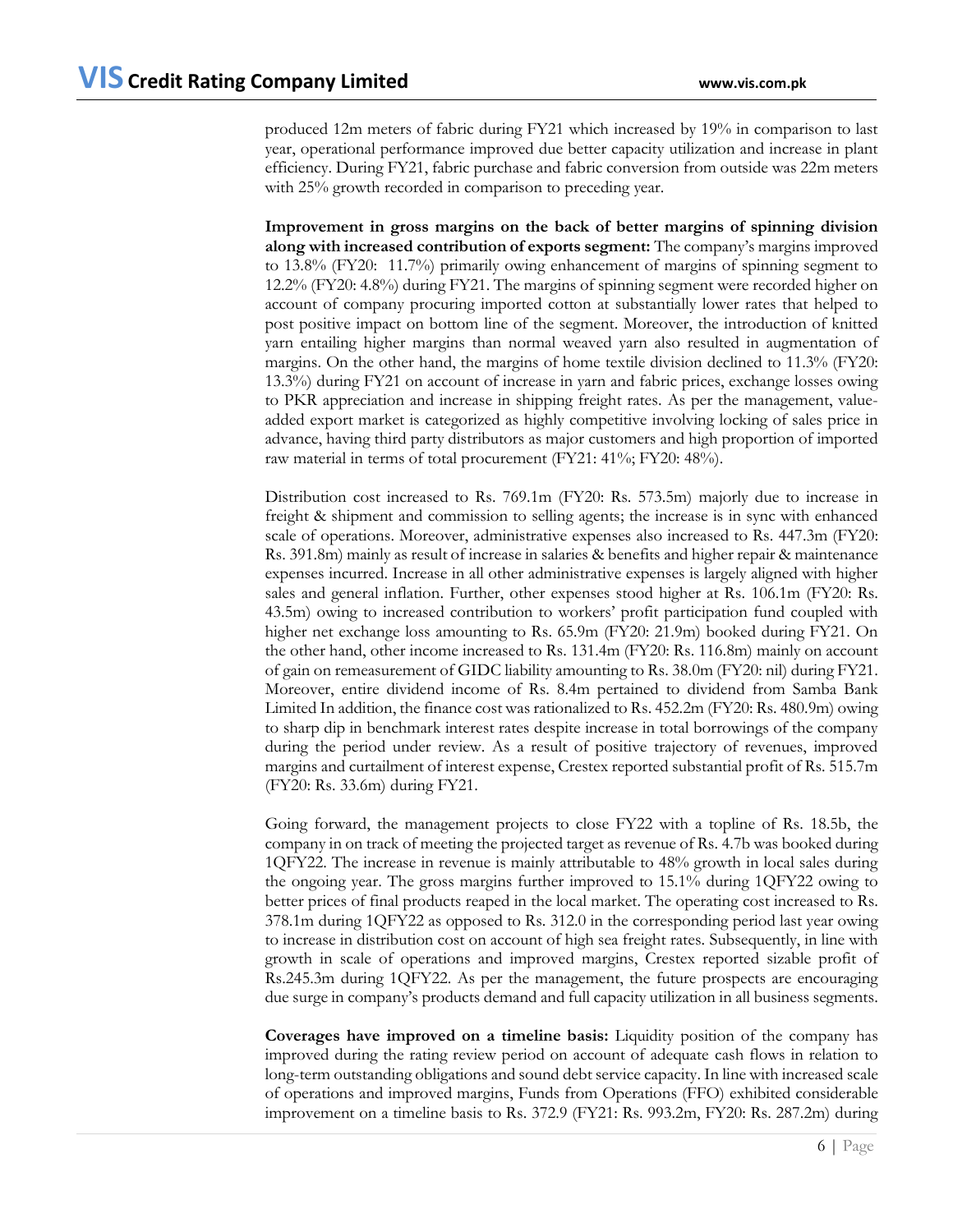produced 12m meters of fabric during FY21 which increased by 19% in comparison to last year, operational performance improved due better capacity utilization and increase in plant efficiency. During FY21, fabric purchase and fabric conversion from outside was 22m meters with 25% growth recorded in comparison to preceding year.

**Improvement in gross margins on the back of better margins of spinning division along with increased contribution of exports segment:** The company's margins improved to 13.8% (FY20: 11.7%) primarily owing enhancement of margins of spinning segment to 12.2% (FY20: 4.8%) during FY21. The margins of spinning segment were recorded higher on account of company procuring imported cotton at substantially lower rates that helped to post positive impact on bottom line of the segment. Moreover, the introduction of knitted yarn entailing higher margins than normal weaved yarn also resulted in augmentation of margins. On the other hand, the margins of home textile division declined to 11.3% (FY20: 13.3%) during FY21 on account of increase in yarn and fabric prices, exchange losses owing to PKR appreciation and increase in shipping freight rates. As per the management, valueadded export market is categorized as highly competitive involving locking of sales price in advance, having third party distributors as major customers and high proportion of imported raw material in terms of total procurement (FY21: 41%; FY20: 48%).

Distribution cost increased to Rs. 769.1m (FY20: Rs. 573.5m) majorly due to increase in freight & shipment and commission to selling agents; the increase is in sync with enhanced scale of operations. Moreover, administrative expenses also increased to Rs. 447.3m (FY20: Rs. 391.8m) mainly as result of increase in salaries & benefits and higher repair & maintenance expenses incurred. Increase in all other administrative expenses is largely aligned with higher sales and general inflation. Further, other expenses stood higher at Rs. 106.1m (FY20: Rs. 43.5m) owing to increased contribution to workers' profit participation fund coupled with higher net exchange loss amounting to Rs. 65.9m (FY20: 21.9m) booked during FY21. On the other hand, other income increased to Rs. 131.4m (FY20: Rs. 116.8m) mainly on account of gain on remeasurement of GIDC liability amounting to Rs. 38.0m (FY20: nil) during FY21. Moreover, entire dividend income of Rs. 8.4m pertained to dividend from Samba Bank Limited In addition, the finance cost was rationalized to Rs. 452.2m (FY20: Rs. 480.9m) owing to sharp dip in benchmark interest rates despite increase in total borrowings of the company during the period under review. As a result of positive trajectory of revenues, improved margins and curtailment of interest expense, Crestex reported substantial profit of Rs. 515.7m (FY20: Rs. 33.6m) during FY21.

Going forward, the management projects to close FY22 with a topline of Rs. 18.5b, the company in on track of meeting the projected target as revenue of Rs. 4.7b was booked during 1QFY22. The increase in revenue is mainly attributable to 48% growth in local sales during the ongoing year. The gross margins further improved to 15.1% during 1QFY22 owing to better prices of final products reaped in the local market. The operating cost increased to Rs. 378.1m during 1QFY22 as opposed to Rs. 312.0 in the corresponding period last year owing to increase in distribution cost on account of high sea freight rates. Subsequently, in line with growth in scale of operations and improved margins, Crestex reported sizable profit of Rs.245.3m during 1QFY22. As per the management, the future prospects are encouraging due surge in company's products demand and full capacity utilization in all business segments.

**Coverages have improved on a timeline basis:** Liquidity position of the company has improved during the rating review period on account of adequate cash flows in relation to long-term outstanding obligations and sound debt service capacity. In line with increased scale of operations and improved margins, Funds from Operations (FFO) exhibited considerable improvement on a timeline basis to Rs. 372.9 (FY21: Rs. 993.2m, FY20: Rs. 287.2m) during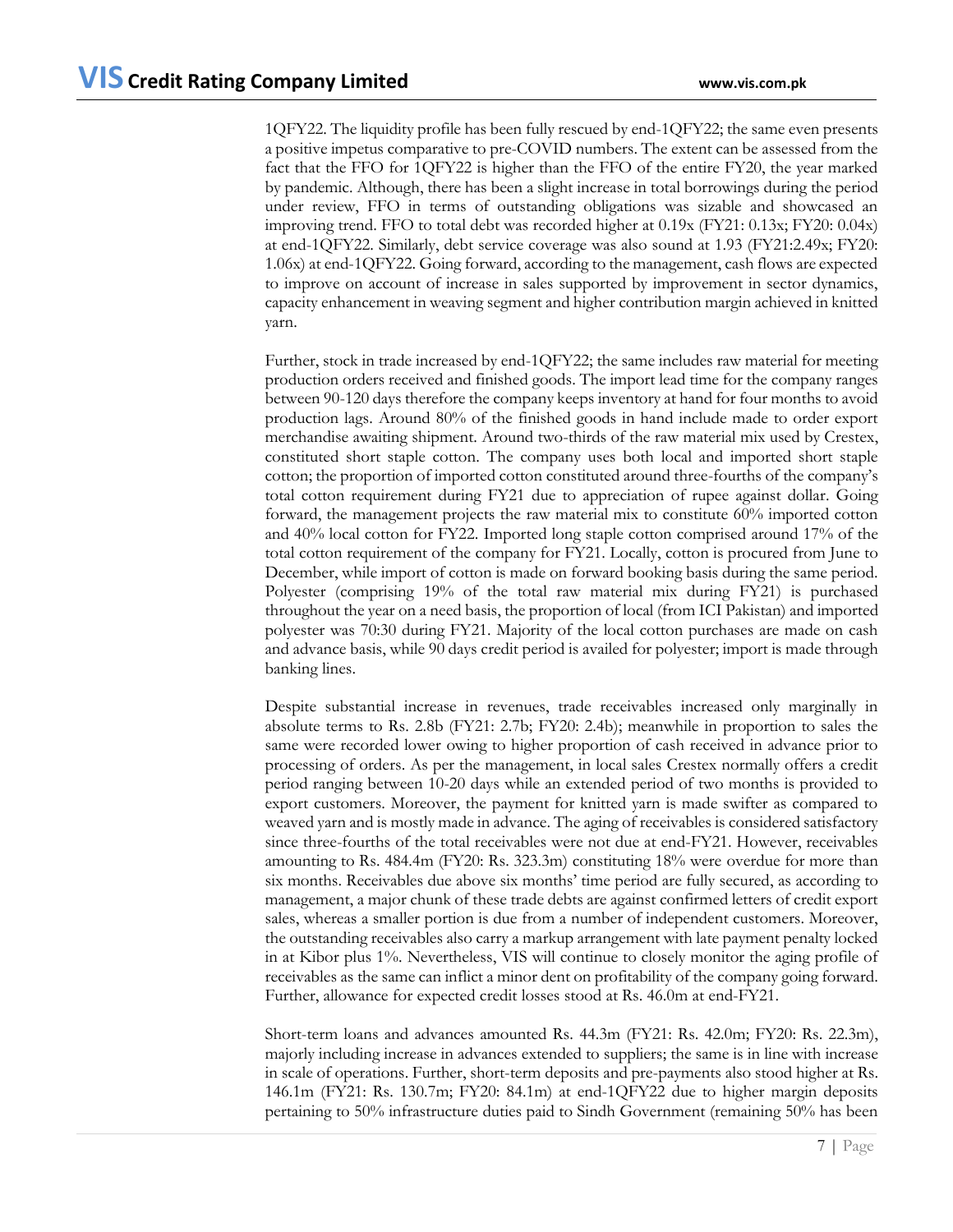1QFY22. The liquidity profile has been fully rescued by end-1QFY22; the same even presents a positive impetus comparative to pre-COVID numbers. The extent can be assessed from the fact that the FFO for 1QFY22 is higher than the FFO of the entire FY20, the year marked by pandemic. Although, there has been a slight increase in total borrowings during the period under review, FFO in terms of outstanding obligations was sizable and showcased an improving trend. FFO to total debt was recorded higher at 0.19x (FY21: 0.13x; FY20: 0.04x) at end-1QFY22. Similarly, debt service coverage was also sound at 1.93 (FY21:2.49x; FY20: 1.06x) at end-1QFY22. Going forward, according to the management, cash flows are expected to improve on account of increase in sales supported by improvement in sector dynamics, capacity enhancement in weaving segment and higher contribution margin achieved in knitted yarn.

Further, stock in trade increased by end-1QFY22; the same includes raw material for meeting production orders received and finished goods. The import lead time for the company ranges between 90-120 days therefore the company keeps inventory at hand for four months to avoid production lags. Around 80% of the finished goods in hand include made to order export merchandise awaiting shipment. Around two-thirds of the raw material mix used by Crestex, constituted short staple cotton. The company uses both local and imported short staple cotton; the proportion of imported cotton constituted around three-fourths of the company's total cotton requirement during FY21 due to appreciation of rupee against dollar. Going forward, the management projects the raw material mix to constitute 60% imported cotton and 40% local cotton for FY22. Imported long staple cotton comprised around 17% of the total cotton requirement of the company for FY21. Locally, cotton is procured from June to December, while import of cotton is made on forward booking basis during the same period. Polyester (comprising 19% of the total raw material mix during FY21) is purchased throughout the year on a need basis, the proportion of local (from ICI Pakistan) and imported polyester was 70:30 during FY21. Majority of the local cotton purchases are made on cash and advance basis, while 90 days credit period is availed for polyester; import is made through banking lines.

Despite substantial increase in revenues, trade receivables increased only marginally in absolute terms to Rs. 2.8b (FY21: 2.7b; FY20: 2.4b); meanwhile in proportion to sales the same were recorded lower owing to higher proportion of cash received in advance prior to processing of orders. As per the management, in local sales Crestex normally offers a credit period ranging between 10-20 days while an extended period of two months is provided to export customers. Moreover, the payment for knitted yarn is made swifter as compared to weaved yarn and is mostly made in advance. The aging of receivables is considered satisfactory since three-fourths of the total receivables were not due at end-FY21. However, receivables amounting to Rs. 484.4m (FY20: Rs. 323.3m) constituting 18% were overdue for more than six months. Receivables due above six months' time period are fully secured, as according to management, a major chunk of these trade debts are against confirmed letters of credit export sales, whereas a smaller portion is due from a number of independent customers. Moreover, the outstanding receivables also carry a markup arrangement with late payment penalty locked in at Kibor plus 1%. Nevertheless, VIS will continue to closely monitor the aging profile of receivables as the same can inflict a minor dent on profitability of the company going forward. Further, allowance for expected credit losses stood at Rs. 46.0m at end-FY21.

Short-term loans and advances amounted Rs. 44.3m (FY21: Rs. 42.0m; FY20: Rs. 22.3m), majorly including increase in advances extended to suppliers; the same is in line with increase in scale of operations. Further, short-term deposits and pre-payments also stood higher at Rs. 146.1m (FY21: Rs. 130.7m; FY20: 84.1m) at end-1QFY22 due to higher margin deposits pertaining to 50% infrastructure duties paid to Sindh Government (remaining 50% has been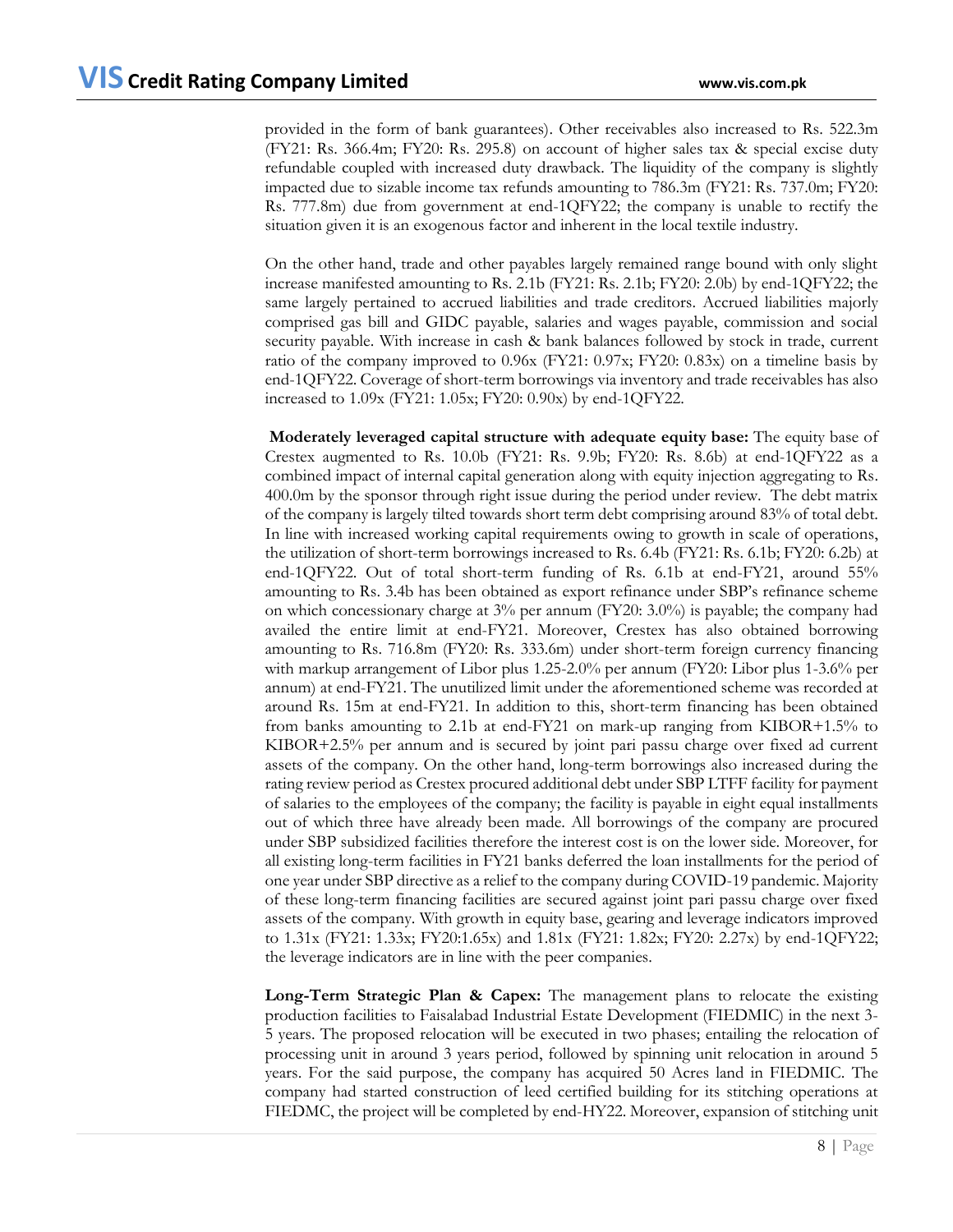provided in the form of bank guarantees). Other receivables also increased to Rs. 522.3m (FY21: Rs. 366.4m; FY20: Rs. 295.8) on account of higher sales tax & special excise duty refundable coupled with increased duty drawback. The liquidity of the company is slightly impacted due to sizable income tax refunds amounting to 786.3m (FY21: Rs. 737.0m; FY20: Rs. 777.8m) due from government at end-1QFY22; the company is unable to rectify the situation given it is an exogenous factor and inherent in the local textile industry.

On the other hand, trade and other payables largely remained range bound with only slight increase manifested amounting to Rs. 2.1b (FY21: Rs. 2.1b; FY20: 2.0b) by end-1QFY22; the same largely pertained to accrued liabilities and trade creditors. Accrued liabilities majorly comprised gas bill and GIDC payable, salaries and wages payable, commission and social security payable. With increase in cash & bank balances followed by stock in trade, current ratio of the company improved to 0.96x (FY21: 0.97x; FY20: 0.83x) on a timeline basis by end-1QFY22. Coverage of short-term borrowings via inventory and trade receivables has also increased to 1.09x (FY21: 1.05x; FY20: 0.90x) by end-1QFY22.

**Moderately leveraged capital structure with adequate equity base:** The equity base of Crestex augmented to Rs. 10.0b (FY21: Rs. 9.9b; FY20: Rs. 8.6b) at end-1QFY22 as a combined impact of internal capital generation along with equity injection aggregating to Rs. 400.0m by the sponsor through right issue during the period under review. The debt matrix of the company is largely tilted towards short term debt comprising around 83% of total debt. In line with increased working capital requirements owing to growth in scale of operations, the utilization of short-term borrowings increased to Rs. 6.4b (FY21: Rs. 6.1b; FY20: 6.2b) at end-1QFY22. Out of total short-term funding of Rs. 6.1b at end-FY21, around 55% amounting to Rs. 3.4b has been obtained as export refinance under SBP's refinance scheme on which concessionary charge at  $3\%$  per annum (FY20: 3.0%) is payable; the company had availed the entire limit at end-FY21. Moreover, Crestex has also obtained borrowing amounting to Rs. 716.8m (FY20: Rs. 333.6m) under short-term foreign currency financing with markup arrangement of Libor plus 1.25-2.0% per annum (FY20: Libor plus 1-3.6% per annum) at end-FY21. The unutilized limit under the aforementioned scheme was recorded at around Rs. 15m at end-FY21. In addition to this, short-term financing has been obtained from banks amounting to 2.1b at end-FY21 on mark-up ranging from KIBOR+1.5% to KIBOR+2.5% per annum and is secured by joint pari passu charge over fixed ad current assets of the company. On the other hand, long-term borrowings also increased during the rating review period as Crestex procured additional debt under SBP LTFF facility for payment of salaries to the employees of the company; the facility is payable in eight equal installments out of which three have already been made. All borrowings of the company are procured under SBP subsidized facilities therefore the interest cost is on the lower side. Moreover, for all existing long-term facilities in FY21 banks deferred the loan installments for the period of one year under SBP directive as a relief to the company during COVID-19 pandemic. Majority of these long-term financing facilities are secured against joint pari passu charge over fixed assets of the company. With growth in equity base, gearing and leverage indicators improved to 1.31x (FY21: 1.33x; FY20:1.65x) and 1.81x (FY21: 1.82x; FY20: 2.27x) by end-1QFY22; the leverage indicators are in line with the peer companies.

**Long-Term Strategic Plan & Capex:** The management plans to relocate the existing production facilities to Faisalabad Industrial Estate Development (FIEDMIC) in the next 3- 5 years. The proposed relocation will be executed in two phases; entailing the relocation of processing unit in around 3 years period, followed by spinning unit relocation in around 5 years. For the said purpose, the company has acquired 50 Acres land in FIEDMIC. The company had started construction of leed certified building for its stitching operations at FIEDMC, the project will be completed by end-HY22. Moreover, expansion of stitching unit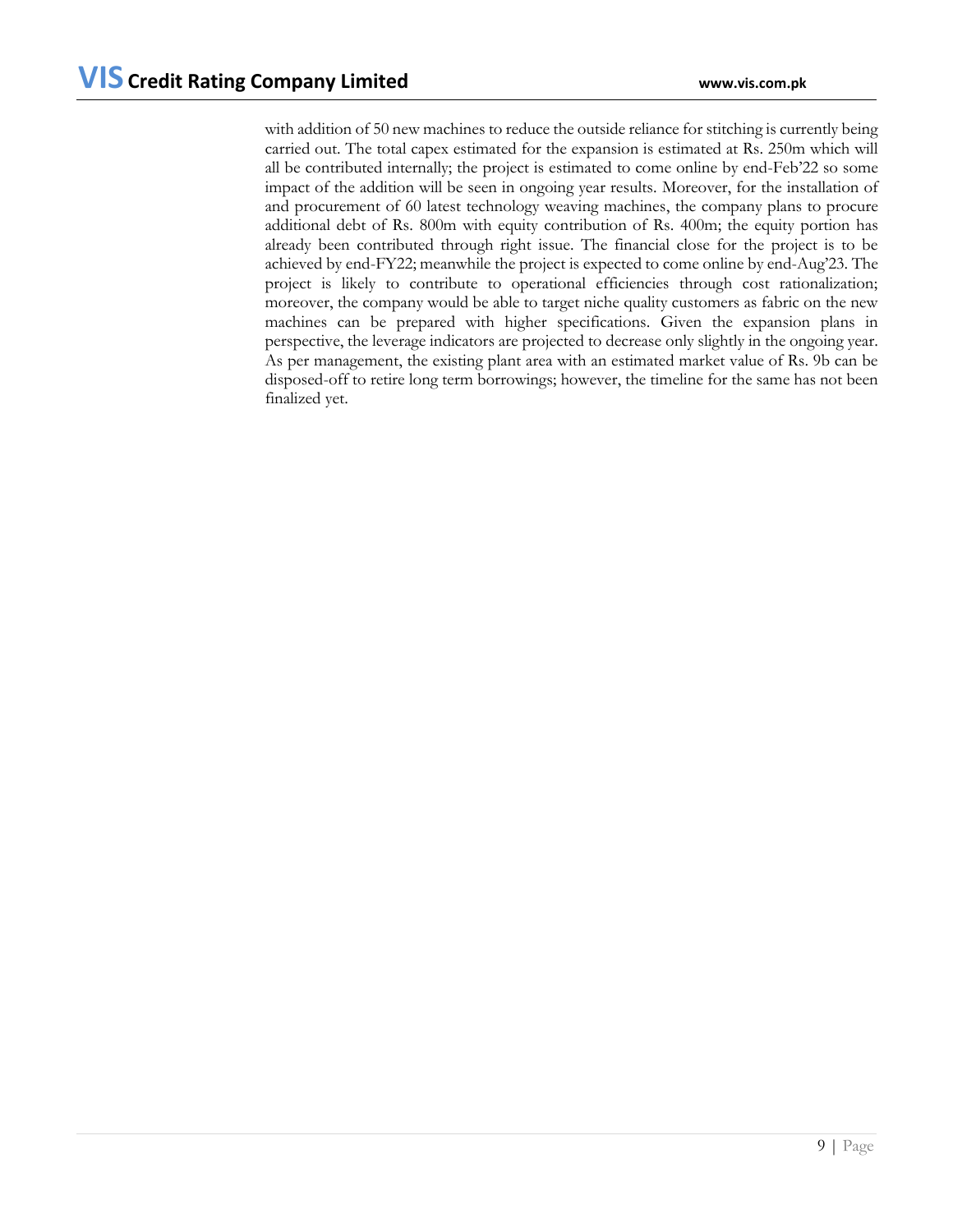with addition of 50 new machines to reduce the outside reliance for stitching is currently being carried out. The total capex estimated for the expansion is estimated at Rs. 250m which will all be contributed internally; the project is estimated to come online by end-Feb'22 so some impact of the addition will be seen in ongoing year results. Moreover, for the installation of and procurement of 60 latest technology weaving machines, the company plans to procure additional debt of Rs. 800m with equity contribution of Rs. 400m; the equity portion has already been contributed through right issue. The financial close for the project is to be achieved by end-FY22; meanwhile the project is expected to come online by end-Aug'23. The project is likely to contribute to operational efficiencies through cost rationalization; moreover, the company would be able to target niche quality customers as fabric on the new machines can be prepared with higher specifications. Given the expansion plans in perspective, the leverage indicators are projected to decrease only slightly in the ongoing year. As per management, the existing plant area with an estimated market value of Rs. 9b can be disposed-off to retire long term borrowings; however, the timeline for the same has not been finalized yet.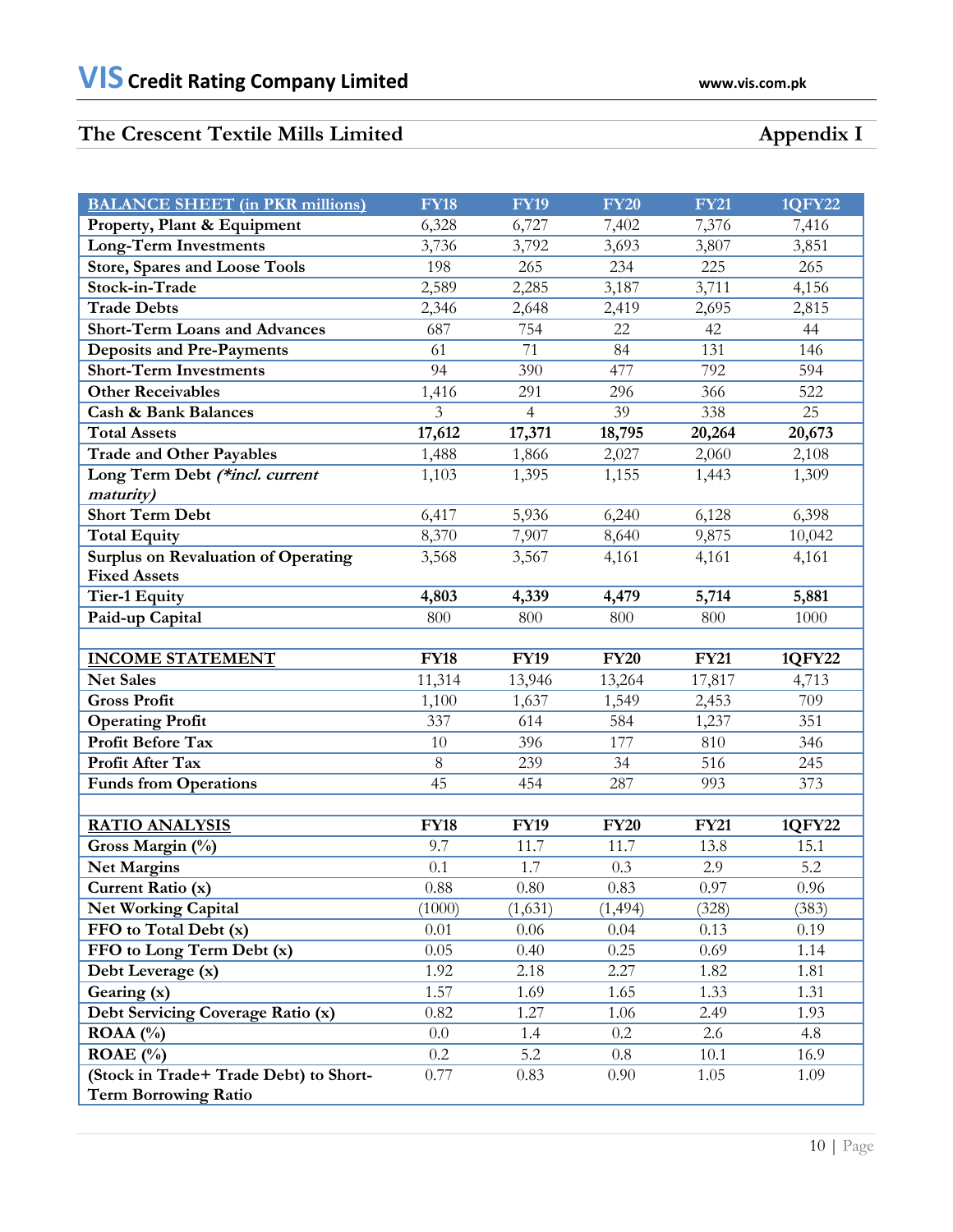# **The Crescent Textile Mills Limited Appendix I**

| <b>BALANCE SHEET</b> (in PKR millions)             | <b>FY18</b>     | <b>FY19</b>    | <b>FY20</b> | <b>FY21</b>  | <b>1QFY22</b> |
|----------------------------------------------------|-----------------|----------------|-------------|--------------|---------------|
| Property, Plant & Equipment                        | 6,328           | 6,727          | 7,402       | 7,376        | 7,416         |
| Long-Term Investments                              | 3,736           | 3,792          | 3,693       | 3,807        | 3,851         |
| <b>Store, Spares and Loose Tools</b>               | 198             | 265            | 234         | 225          | 265           |
| Stock-in-Trade                                     | 2,589           | 2,285          | 3,187       | 3,711        | 4,156         |
| <b>Trade Debts</b>                                 | 2,346           | 2,648          | 2,419       | 2,695        | 2,815         |
| <b>Short-Term Loans and Advances</b>               | 687             | 754            | 22          | 42           | 44            |
| <b>Deposits and Pre-Payments</b>                   | 61              | 71             | 84          | 131          | 146           |
| <b>Short-Term Investments</b>                      | 94              | 390            | 477         | 792          | 594           |
| <b>Other Receivables</b>                           | 1,416           | 291            | 296         | 366          | 522           |
| <b>Cash &amp; Bank Balances</b>                    | 3               | $\overline{4}$ | 39          | 338          | 25            |
| <b>Total Assets</b>                                | 17,612          | 17,371         | 18,795      | 20,264       | 20,673        |
| <b>Trade and Other Payables</b>                    | 1,488           | 1,866          | 2,027       | 2,060        | 2,108         |
| Long Term Debt (*incl. current                     | 1,103           | 1,395          | 1,155       | 1,443        | 1,309         |
| maturity)                                          |                 |                |             |              |               |
| <b>Short Term Debt</b>                             | 6,417           | 5,936          | 6,240       | 6,128        | 6,398         |
| <b>Total Equity</b>                                | 8,370           | 7,907          | 8,640       | 9,875        | 10,042        |
| <b>Surplus on Revaluation of Operating</b>         | 3,568           | 3,567          | 4,161       | 4,161        | 4,161         |
| <b>Fixed Assets</b>                                |                 |                |             |              |               |
| <b>Tier-1 Equity</b>                               | 4,803           | 4,339          | 4,479       | 5,714        | 5,881         |
| Paid-up Capital                                    | 800             | 800            | 800         | 800          | 1000          |
|                                                    |                 |                |             |              |               |
|                                                    |                 |                |             |              |               |
| <b>INCOME STATEMENT</b>                            | <b>FY18</b>     | <b>FY19</b>    | <b>FY20</b> | <b>FY21</b>  | 1QFY22        |
| <b>Net Sales</b>                                   | 11,314          | 13,946         | 13,264      | 17,817       | 4,713         |
| <b>Gross Profit</b>                                | 1,100           | 1,637          | 1,549       | 2,453        | 709           |
| <b>Operating Profit</b>                            | 337             | 614            | 584         | 1,237        | 351           |
| Profit Before Tax                                  | 10              | 396            | 177         | 810          | 346           |
| Profit After Tax                                   | $\,8\,$         | 239            | 34          | 516          | 245           |
| <b>Funds from Operations</b>                       | 45              | 454            | 287         | 993          | 373           |
|                                                    |                 |                |             |              |               |
| <b>RATIO ANALYSIS</b>                              | <b>FY18</b>     | <b>FY19</b>    | <b>FY20</b> | <b>FY21</b>  | 1QFY22        |
| Gross Margin (%)                                   | 9.7             | 11.7           | 11.7        | 13.8         | 15.1          |
| <b>Net Margins</b>                                 | 0.1             | 1.7            | 0.3         | 2.9          | 5.2           |
| Current Ratio (x)                                  | 0.88            | 0.80           | $0.83\,$    | $0.97\,$     | 0.96          |
| <b>Net Working Capital</b>                         | (1000)          | (1,631)        | (1, 494)    | (328)        | (383)         |
| FFO to Total Debt (x)                              | 0.01            | 0.06           | 0.04        | 0.13         | 0.19          |
| FFO to Long Term Debt (x)                          | 0.05            | 0.40           | 0.25        | 0.69         | 1.14          |
| Debt Leverage (x)                                  | 1.92            | 2.18           | 2.27        | 1.82         | 1.81          |
| Gearing (x)                                        | 1.57            | 1.69           | 1.65        | 1.33         | 1.31          |
| Debt Servicing Coverage Ratio (x)                  | 0.82            | 1.27           | 1.06        | 2.49         | 1.93          |
| ROAA $(%)$                                         | 0.0             | 1.4            | $0.2\,$     | 2.6          | 4.8           |
| ROAE (%)<br>(Stock in Trade+ Trade Debt) to Short- | $0.2\,$<br>0.77 | 5.2<br>0.83    | 0.8<br>0.90 | 10.1<br>1.05 | 16.9<br>1.09  |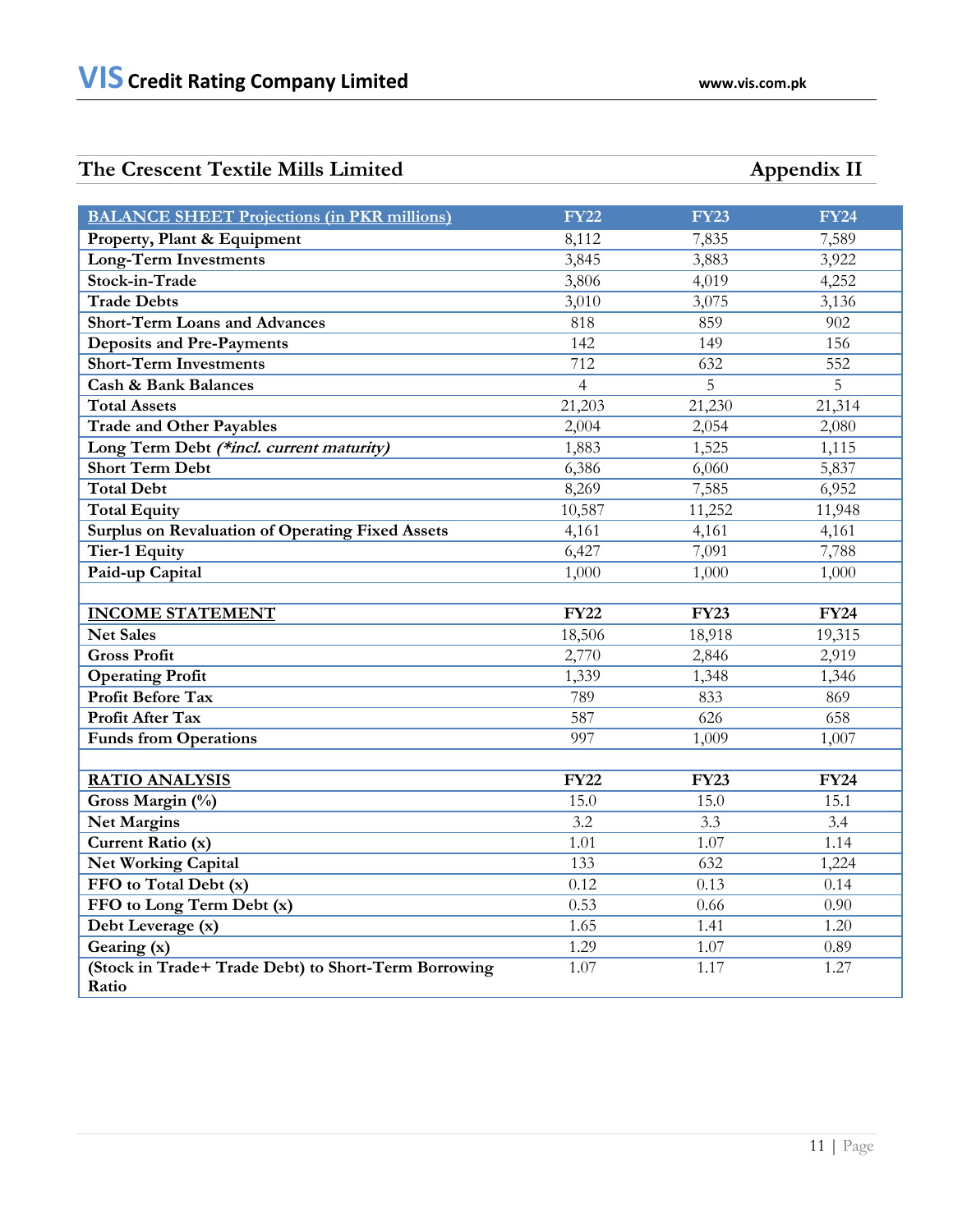# **The Crescent Textile Mills Limited Appendix II**

| <b>BALANCE SHEET Projections (in PKR millions)</b>            | <b>FY22</b>    | <b>FY23</b> | <b>FY24</b> |
|---------------------------------------------------------------|----------------|-------------|-------------|
| Property, Plant & Equipment                                   | 8,112          | 7,835       | 7,589       |
| <b>Long-Term Investments</b>                                  | 3,845          | 3,883       | 3,922       |
| Stock-in-Trade                                                | 3,806          | 4,019       | 4,252       |
| <b>Trade Debts</b>                                            | 3,010          | 3,075       | 3,136       |
| <b>Short-Term Loans and Advances</b>                          | 818            | 859         | 902         |
| <b>Deposits and Pre-Payments</b>                              | 142            | 149         | 156         |
| <b>Short-Term Investments</b>                                 | 712            | 632         | 552         |
| <b>Cash &amp; Bank Balances</b>                               | $\overline{4}$ | 5           | 5           |
| <b>Total Assets</b>                                           | 21,203         | 21,230      | 21,314      |
| <b>Trade and Other Payables</b>                               | 2,004          | 2,054       | 2,080       |
| Long Term Debt (*incl. current maturity)                      | 1,883          | 1,525       | 1,115       |
| <b>Short Term Debt</b>                                        | 6,386          | 6,060       | 5,837       |
| <b>Total Debt</b>                                             | 8,269          | 7,585       | 6,952       |
| <b>Total Equity</b>                                           | 10,587         | 11,252      | 11,948      |
| <b>Surplus on Revaluation of Operating Fixed Assets</b>       | 4,161          | 4,161       | 4,161       |
| <b>Tier-1 Equity</b>                                          | 6,427          | 7,091       | 7,788       |
| Paid-up Capital                                               | 1,000          | 1,000       | 1,000       |
|                                                               |                |             |             |
| <b>INCOME STATEMENT</b>                                       | <b>FY22</b>    | <b>FY23</b> | <b>FY24</b> |
| <b>Net Sales</b>                                              | 18,506         | 18,918      | 19,315      |
| <b>Gross Profit</b>                                           | 2,770          | 2,846       | 2,919       |
| <b>Operating Profit</b>                                       | 1,339          | 1,348       | 1,346       |
| <b>Profit Before Tax</b>                                      | 789            | 833         | 869         |
| Profit After Tax                                              | 587            | 626         | 658         |
| <b>Funds from Operations</b>                                  | 997            | 1,009       | 1,007       |
|                                                               |                |             |             |
| <b>RATIO ANALYSIS</b>                                         | <b>FY22</b>    | <b>FY23</b> | <b>FY24</b> |
| Gross Margin (%)                                              | 15.0           | 15.0        | 15.1        |
| <b>Net Margins</b>                                            | 3.2            | 3.3         | 3.4         |
| Current Ratio (x)                                             | 1.01           | 1.07        | 1.14        |
| <b>Net Working Capital</b>                                    | 133            | 632         | 1,224       |
| FFO to Total Debt (x)                                         | 0.12           | 0.13        | 0.14        |
| FFO to Long Term Debt (x)                                     | 0.53           | 0.66        | 0.90        |
| Debt Leverage (x)                                             | 1.65           | 1.41        | 1.20        |
| Gearing (x)                                                   | 1.29           | 1.07        | 0.89        |
| (Stock in Trade+ Trade Debt) to Short-Term Borrowing<br>Ratio | 1.07           | 1.17        | 1.27        |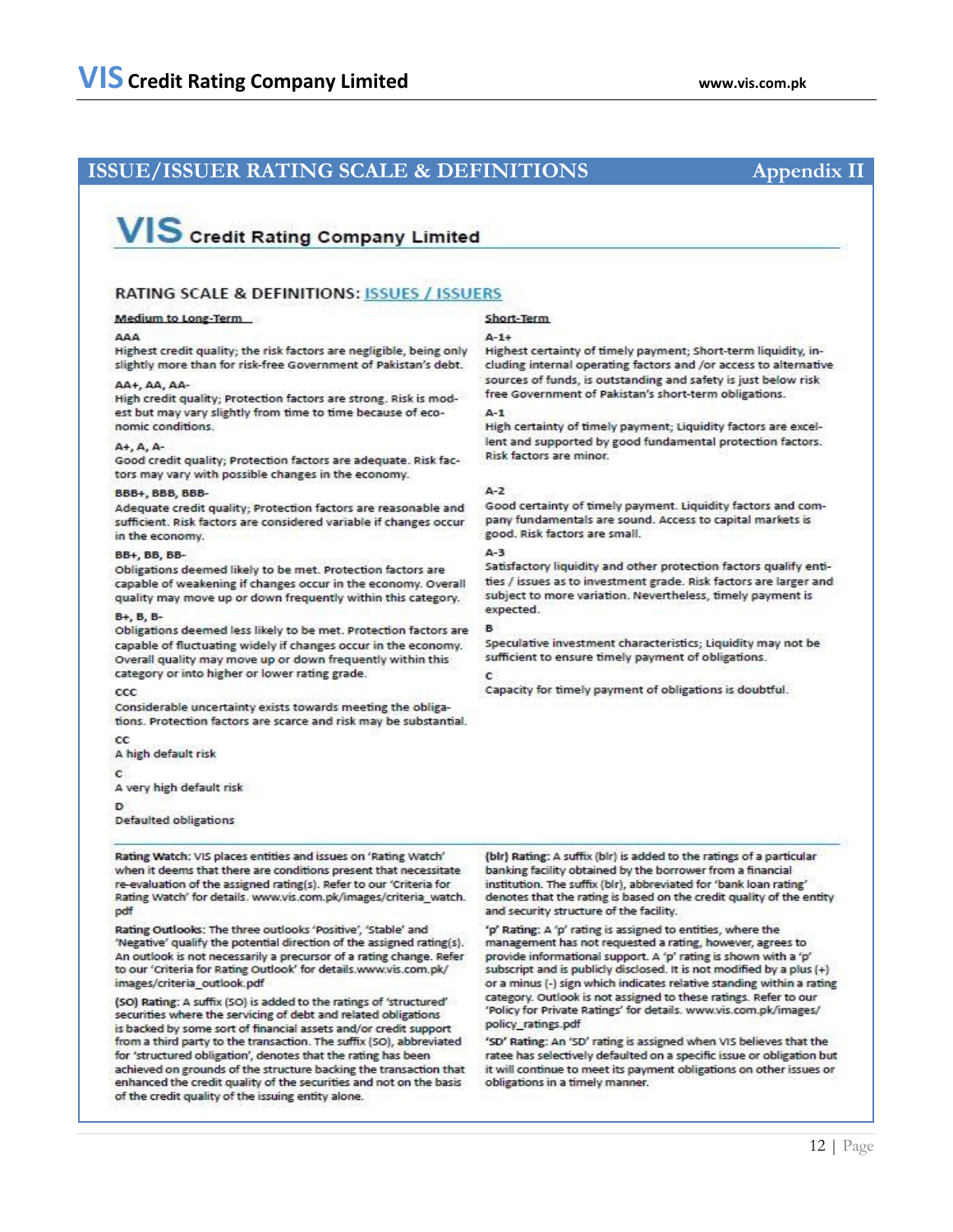# **ISSUE/ISSUER RATING SCALE & DEFINITIONS Appendix II**

# VIS Credit Rating Company Limited

## RATING SCALE & DEFINITIONS: ISSUES / ISSUERS

## **Medium to Long-Term**

Highest credit quality; the risk factors are negligible, being only slightly more than for risk-free Government of Pakistan's debt.

## AA+, AA, AA-

High credit quality; Protection factors are strong. Risk is modest but may vary slightly from time to time because of economic conditions.

## $A + A$ .  $A -$

Good credit quality; Protection factors are adequate. Risk factors may vary with possible changes in the economy.

## BBB+ BBB BBB-

Adequate credit quality; Protection factors are reasonable and sufficient. Risk factors are considered variable if changes occur in the economy.

## **BB+ BB BB-**

Obligations deemed likely to be met. Protection factors are capable of weakening if changes occur in the economy. Overall quality may move up or down frequently within this category.

## B+ B B-

Obligations deemed less likely to be met. Protection factors are capable of fluctuating widely if changes occur in the economy. Overall quality may move up or down frequently within this category or into higher or lower rating grade.

### ccc

Considerable uncertainty exists towards meeting the obligations. Protection factors are scarce and risk may be substantial.

 $_{cc}$ 

A high default risk

C

A very high default risk

Đ

Defaulted obligations

Rating Watch: VIS places entities and issues on 'Rating Watch' when it deems that there are conditions present that necessitate re-evaluation of the assigned rating(s). Refer to our 'Criteria for Rating Watch' for details. www.vis.com.pk/images/criteria\_watch. pdf

Rating Outlooks: The three outlooks 'Positive', 'Stable' and 'Negative' qualify the potential direction of the assigned rating(s). An outlook is not necessarily a precursor of a rating change. Refer to our 'Criteria for Rating Outlook' for details.www.vis.com.pk/ images/criteria outlook.pdf

(SO) Rating: A suffix (SO) is added to the ratings of 'structured' securities where the servicing of debt and related obligations is backed by some sort of financial assets and/or credit support from a third party to the transaction. The suffix (SO), abbreviated for 'structured obligation', denotes that the rating has been achieved on grounds of the structure backing the transaction that enhanced the credit quality of the securities and not on the basis of the credit quality of the issuing entity alone.

## Short-Term

### $A - 1 +$

Highest certainty of timely payment; Short-term liquidity, including internal operating factors and /or access to alternative sources of funds, is outstanding and safety is just below risk free Government of Pakistan's short-term obligations.

## $4 - 1$

High certainty of timely payment; Liquidity factors are excellent and supported by good fundamental protection factors. Risk factors are minor.

### $A - 2$

Good certainty of timely payment. Liquidity factors and company fundamentals are sound. Access to capital markets is good. Risk factors are small.

## $4 - 3$

Satisfactory liquidity and other protection factors qualify entities / issues as to investment grade. Risk factors are larger and subject to more variation. Nevertheless, timely payment is expected.

Speculative investment characteristics; Liquidity may not be sufficient to ensure timely payment of obligations.

## ċ

Capacity for timely payment of obligations is doubtful.

(blr) Rating: A suffix (blr) is added to the ratings of a particular banking facility obtained by the borrower from a financial institution. The suffix (bir), abbreviated for 'bank loan rating' denotes that the rating is based on the credit quality of the entity and security structure of the facility.

'p' Rating: A 'p' rating is assigned to entities, where the management has not requested a rating, however, agrees to provide informational support. A 'p' rating is shown with a 'p' subscript and is publicly disclosed. It is not modified by a plus (+) or a minus (-) sign which indicates relative standing within a rating category. Outlook is not assigned to these ratings. Refer to our 'Policy for Private Ratings' for details. www.vis.com.pk/images/ policy ratings pdf

'SD' Rating: An 'SD' rating is assigned when VIS believes that the ratee has selectively defaulted on a specific issue or obligation but it will continue to meet its payment obligations on other issues or obligations in a timely manner.